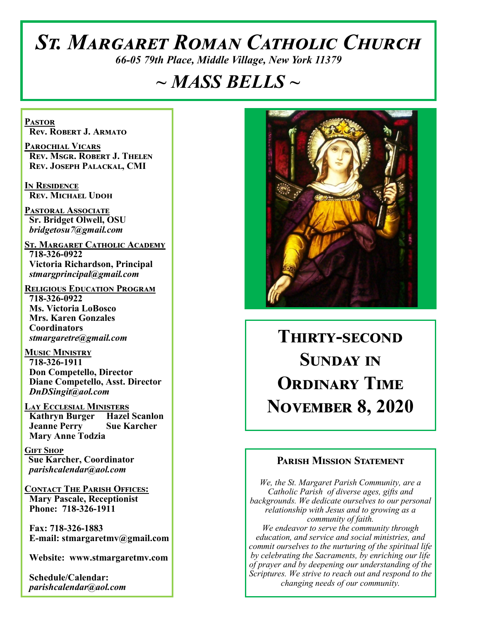# *St. Margaret Roman Catholic Church*

*66-05 79th Place, Middle Village, New York 11379*

# *~ MASS BELLS ~*

**Pastor Rev. Robert J. Armato**

**Parochial Vicars Rev. Msgr. Robert J. Thelen Rev. Joseph Palackal, CMI**

**In Residence Rev. Michael Udoh**

**Pastoral Associate Sr. Bridget Olwell, OSU**  *bridgetosu7@gmail.com*

**St. Margaret Catholic Academy 718-326-0922 Victoria Richardson, Principal**  *stmargprincipal@gmail.com*

**Religious Education Program 718-326-0922 Ms. Victoria LoBosco Mrs. Karen Gonzales Coordinators** *stmargaretre@gmail.com*

**Music Ministry 718-326-1911 Don Competello, Director Diane Competello, Asst. Director** *DnDSingit@aol.com*

**Lay Ecclesial Ministers Kathryn Burger Hazel Scanlon Jeanne Perry Sue Karcher Mary Anne Todzia**

**Gift Shop Sue Karcher, Coordinator** *parishcalendar@aol.com*

**Contact The Parish Offices: Mary Pascale, Receptionist Phone: 718-326-1911** 

 **Fax: 718-326-1883 E-mail: stmargaretmv@gmail.com**

 **Website: www.stmargaretmv.com**

 **Schedule/Calendar:** *parishcalendar@aol.com* 



**Thirty-second Sunday in ORDINARY TIME November 8, 2020** 

### **Parish Mission Statement**

*We, the St. Margaret Parish Community, are a Catholic Parish of diverse ages, gifts and backgrounds. We dedicate ourselves to our personal relationship with Jesus and to growing as a community of faith. We endeavor to serve the community through education, and service and social ministries, and commit ourselves to the nurturing of the spiritual life by celebrating the Sacraments, by enriching our life of prayer and by deepening our understanding of the Scriptures. We strive to reach out and respond to the* 

*changing needs of our community.*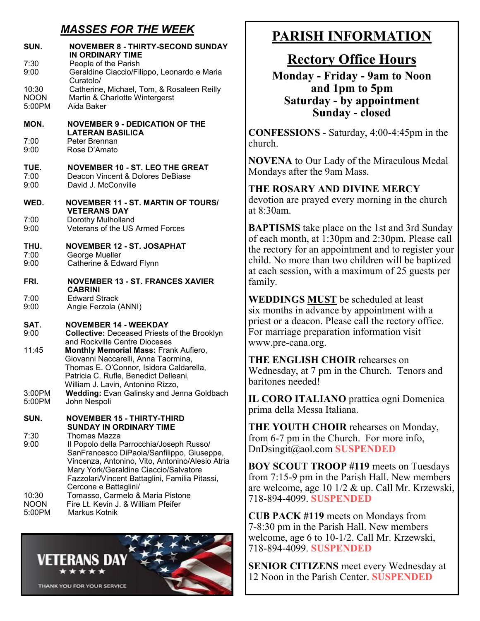## *MASSES FOR THE WEEK*

| SUN.<br>7:30<br>9:00           | <b>NOVEMBER 8 - THIRTY-SECOND SUNDAY</b><br>IN ORDINARY TIME<br>People of the Parish<br>Geraldine Ciaccio/Filippo, Leonardo e Maria<br>Curatolo/                                                                                                                              |
|--------------------------------|-------------------------------------------------------------------------------------------------------------------------------------------------------------------------------------------------------------------------------------------------------------------------------|
| 10:30<br><b>NOON</b><br>5:00PM | Catherine, Michael, Tom, & Rosaleen Reilly<br>Martin & Charlotte Wintergerst<br>Aida Baker                                                                                                                                                                                    |
| MON.                           | <b>NOVEMBER 9 - DEDICATION OF THE</b><br><b>LATERAN BASILICA</b>                                                                                                                                                                                                              |
| 7:00<br>9:00                   | Peter Brennan<br>Rose D'Amato                                                                                                                                                                                                                                                 |
| TUE.<br>7:00<br>9:00           | <b>NOVEMBER 10 - ST. LEO THE GREAT</b><br>Deacon Vincent & Dolores DeBiase<br>David J. McConville                                                                                                                                                                             |
| WED.                           | <b>NOVEMBER 11 - ST. MARTIN OF TOURS/</b><br><b>VETERANS DAY</b>                                                                                                                                                                                                              |
| 7:00<br>9:00                   | Dorothy Mulholland<br>Veterans of the US Armed Forces                                                                                                                                                                                                                         |
| THU.<br>7:00                   | <b>NOVEMBER 12 - ST. JOSAPHAT</b><br>George Mueller                                                                                                                                                                                                                           |
| 9:00                           | Catherine & Edward Flynn                                                                                                                                                                                                                                                      |
| FRI.                           | <b>NOVEMBER 13 - ST. FRANCES XAVIER</b><br><b>CABRINI</b>                                                                                                                                                                                                                     |
| 7:00<br>9:00                   | <b>Edward Strack</b><br>Angie Ferzola (ANNI)                                                                                                                                                                                                                                  |
| SAT.<br>9:00                   | <b>NOVEMBER 14 - WEEKDAY</b><br><b>Collective: Deceased Priests of the Brooklyn</b><br>and Rockville Centre Dioceses                                                                                                                                                          |
| 11:45                          | <b>Monthly Memorial Mass: Frank Aufiero,</b><br>Giovanni Naccarelli, Anna Taormina,<br>Thomas E. O'Connor, Isidora Caldarella,<br>Patricia C. Rufle, Benedict Delleani,<br>William J. Lavin, Antonino Rizzo,                                                                  |
| 3:00PM<br>5:00PM               | Wedding: Evan Galinsky and Jenna Goldbach<br>John Nespoli                                                                                                                                                                                                                     |
| SUN.                           | <b>NOVEMBER 15 - THIRTY-THIRD</b><br><b>SUNDAY IN ORDINARY TIME</b>                                                                                                                                                                                                           |
| 7:30<br>9:00                   | Thomas Mazza<br>Il Popolo della Parrocchia/Joseph Russo/<br>SanFrancesco DiPaola/Sanfilippo, Giuseppe,<br>Vincenza, Antonino, Vito, Antonino/Alesio Atria<br>Mary York/Geraldine Ciaccio/Salvatore<br>Fazzolari/Vincent Battaglini, Familia Pitassi,<br>Cercone e Battaglini/ |
| 10:30<br><b>NOON</b><br>5:00PM | Tomasso, Carmelo & Maria Pistone<br>Fire Lt. Kevin J. & William Pfeifer<br>Markus Kotnik                                                                                                                                                                                      |



## **PARISH INFORMATION**

## **Rectory Office Hours**

**Monday - Friday - 9am to Noon and 1pm to 5pm Saturday - by appointment Sunday - closed**

**CONFESSIONS** - Saturday, 4:00-4:45pm in the church.

**NOVENA** to Our Lady of the Miraculous Medal Mondays after the 9am Mass.

**THE ROSARY AND DIVINE MERCY** devotion are prayed every morning in the church at 8:30am.

**BAPTISMS** take place on the 1st and 3rd Sunday of each month, at 1:30pm and 2:30pm. Please call the rectory for an appointment and to register your child. No more than two children will be baptized at each session, with a maximum of 25 guests per family.

**WEDDINGS MUST** be scheduled at least six months in advance by appointment with a priest or a deacon. Please call the rectory office. For marriage preparation information visit www.pre-cana.org.

**THE ENGLISH CHOIR** rehearses on Wednesday, at 7 pm in the Church. Tenors and baritones needed!

**IL CORO ITALIANO** prattica ogni Domenica prima della Messa Italiana.

**THE YOUTH CHOIR** rehearses on Monday, from 6-7 pm in the Church. For more info, DnDsingit@aol.com **SUSPENDED**

**BOY SCOUT TROOP #119** meets on Tuesdays from 7:15-9 pm in the Parish Hall. New members are welcome, age 10 1/2 & up. Call Mr. Krzewski, 718-894-4099. **SUSPENDED**

**CUB PACK #119** meets on Mondays from 7-8:30 pm in the Parish Hall. New members welcome, age 6 to 10-1/2. Call Mr. Krzewski, 718-894-4099. **SUSPENDED**

**SENIOR CITIZENS** meet every Wednesday at 12 Noon in the Parish Center. **SUSPENDED**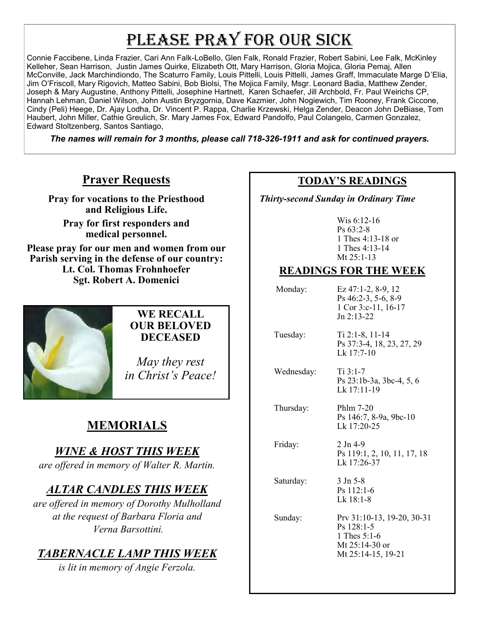# PLEASE PRAY FOR OUR SICK

Connie Faccibene, Linda Frazier, Cari Ann Falk-LoBello, Glen Falk, Ronald Frazier, Robert Sabini, Lee Falk, McKinley Kelleher, Sean Harrison, Justin James Quirke, Elizabeth Ott, Mary Harrison, Gloria Mojica, Gloria Pemaj, Allen McConville, Jack Marchindiondo, The Scaturro Family, Louis Pittelli, Louis Pittelli, James Graff, Immaculate Marge D'Elia, Jim O'Friscoll, Mary Rigovich, Matteo Sabini, Bob Biolsi, The Mojica Family, Msgr. Leonard Badia, Matthew Zender, Joseph & Mary Augustine, Anthony Pittelli, Josephine Hartnett, Karen Schaefer, Jill Archbold, Fr. Paul Weirichs CP, Hannah Lehman, Daniel Wilson, John Austin Bryzgornia, Dave Kazmier, John Nogiewich, Tim Rooney, Frank Ciccone, Cindy (Peli) Heege, Dr. Ajay Lodha, Dr. Vincent P. Rappa, Charlie Krzewski, Helga Zender, Deacon John DeBiase, Tom Haubert, John Miller, Cathie Greulich, Sr. Mary James Fox, Edward Pandolfo, Paul Colangelo, Carmen Gonzalez, Edward Stoltzenberg, Santos Santiago,

*The names will remain for 3 months, please call 718-326-1911 and ask for continued prayers.*

## **Prayer Requests**

**Pray for vocations to the Priesthood and Religious Life.** 

**Pray for first responders and medical personnel.**

**Please pray for our men and women from our Parish serving in the defense of our country: Lt. Col. Thomas Frohnhoefer Sgt. Robert A. Domenici** 



#### **WE RECALL OUR BELOVED DECEASED**

*May they rest in Christ's Peace!*

# **MEMORIALS**

## *WINE & HOST THIS WEEK*

*are offered in memory of Walter R. Martin.*

## *ALTAR CANDLES THIS WEEK*

*are offered in memory of Dorothy Mulholland at the request of Barbara Floria and Verna Barsottini.*

## *TABERNACLE LAMP THIS WEEK*

*is lit in memory of Angie Ferzola.* 

## **TODAY'S READINGS**

 *Thirty-second Sunday in Ordinary Time* 

Wis 6:12-16 Ps 63:2-8 1 Thes 4:13-18 or 1 Thes 4:13-14 Mt 25:1-13

## **READINGS FOR THE WEEK**

 Monday: Ez 47:1-2, 8-9, 12 Ps 46:2-3, 5-6, 8-9 1 Cor 3:c-11, 16-17  $Jn$  2:13-22

 Tuesday: Ti 2:1-8, 11-14 Ps 37:3-4, 18, 23, 27, 29 Lk 17:7-10

Wednesday: Ti 3:1-7 Ps 23:1b-3a, 3bc-4, 5, 6 Lk 17:11-19

 Thursday: Phlm 7-20 Ps 146:7, 8-9a, 9bc-10 Lk 17:20-25

Lk 17:26-37

Friday: 2 Jn 4-9

Saturday: 3 Jn 5-8

Ps 112:1-6

 $Lk$  18:1-8 Sunday: Prv 31:10-13, 19-20, 30-31 Ps 128:1-5 1 Thes 5:1-6

Ps 119:1, 2, 10, 11, 17, 18

Mt 25:14-30 or Mt 25:14-15, 19-21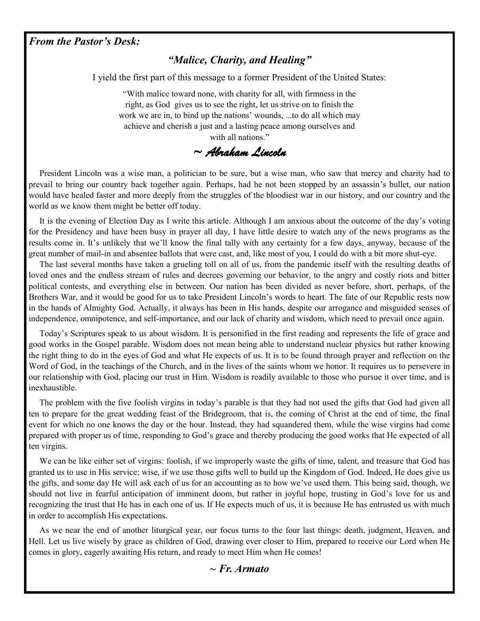#### *From the Pastor's Desk:*

#### *"Malice, Charity, and Healing"*

I yield the first part of this message to a former President of the United States:

"With malice toward none, with charity for all, with firmness in the right, as God gives us to see the right, let us strive on to finish the work we are in, to bind up the nations' wounds, ...to do all which may achieve and cherish a just and a lasting peace among ourselves and with all nations."

*~ Abraham Lincoln* 

 President Lincoln was a wise man, a politician to be sure, but a wise man, who saw that mercy and charity had to prevail to bring our country back together again. Perhaps, had he not been stopped by an assassin's bullet, our nation would have healed faster and more deeply from the struggles of the bloodiest war in our history, and our country and the world as we know them might be better off today.

 It is the evening of Election Day as I write this article. Although I am anxious about the outcome of the day's voting for the Presidency and have been busy in prayer all day, I have little desire to watch any of the news programs as the results come in. It's unlikely that we'll know the final tally with any certainty for a few days, anyway, because of the great number of mail-in and absentee ballots that were cast, and, like most of you, I could do with a bit more shut-eye.

 The last several months have taken a grueling toll on all of us, from the pandemic itself with the resulting deaths of loved ones and the endless stream of rules and decrees governing our behavior, to the angry and costly riots and bitter political contests, and everything else in between. Our nation has been divided as never before, short, perhaps, of the Brothers War, and it would be good for us to take President Lincoln's words to heart. The fate of our Republic rests now in the hands of Almighty God. Actually, it always has been in His hands, despite our arrogance and misguided senses of independence, omnipotence, and self-importance, and our lack of charity and wisdom, which need to prevail once again.

 Today's Scriptures speak to us about wisdom. It is personified in the first reading and represents the life of grace and good works in the Gospel parable. Wisdom does not mean being able to understand nuclear physics but rather knowing the right thing to do in the eyes of God and what He expects of us. It is to be found through prayer and reflection on the Word of God, in the teachings of the Church, and in the lives of the saints whom we honor. It requires us to persevere in our relationship with God, placing our trust in Him. Wisdom is readily available to those who pursue it over time, and is inexhaustible.

 The problem with the five foolish virgins in today's parable is that they had not used the gifts that God had given all ten to prepare for the great wedding feast of the Bridegroom, that is, the coming of Christ at the end of time, the final event for which no one knows the day or the hour. Instead, they had squandered them, while the wise virgins had come prepared with proper us of time, responding to God's grace and thereby producing the good works that He expected of all ten virgins.

 We can be like either set of virgins: foolish, if we improperly waste the gifts of time, talent, and treasure that God has granted us to use in His service; wise, if we use those gifts well to build up the Kingdom of God. Indeed, He does give us the gifts, and some day He will ask each of us for an accounting as to how we've used them. This being said, though, we should not live in fearful anticipation of imminent doom, but rather in joyful hope, trusting in God's love for us and recognizing the trust that He has in each one of us. If He expects much of us, it is because He has entrusted us with much in order to accomplish His expectations.

 As we near the end of another liturgical year, our focus turns to the four last things: death, judgment, Heaven, and Hell. Let us live wisely by grace as children of God, drawing ever closer to Him, prepared to receive our Lord when He comes in glory, eagerly awaiting His return, and ready to meet Him when He comes!

#### *~ Fr. Armato*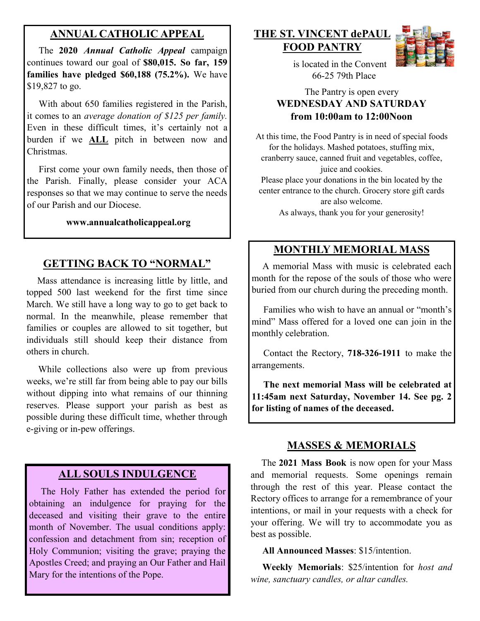## **ANNUAL CATHOLIC APPEAL**

 The **2020** *Annual Catholic Appeal* campaign continues toward our goal of **\$80,015. So far, 159 families have pledged \$60,188 (75.2%).** We have \$19,827 to go.

With about 650 families registered in the Parish, it comes to an *average donation of \$125 per family.*  Even in these difficult times, it's certainly not a burden if we **ALL** pitch in between now and Christmas.

 First come your own family needs, then those of the Parish. Finally, please consider your ACA responses so that we may continue to serve the needs of our Parish and our Diocese.

#### **www.annualcatholicappeal.org**

## **GETTING BACK TO "NORMAL"**

 Mass attendance is increasing little by little, and topped 500 last weekend for the first time since March. We still have a long way to go to get back to normal. In the meanwhile, please remember that families or couples are allowed to sit together, but individuals still should keep their distance from others in church.

 While collections also were up from previous weeks, we're still far from being able to pay our bills without dipping into what remains of our thinning reserves. Please support your parish as best as possible during these difficult time, whether through e-giving or in-pew offerings.

## **ALL SOULS INDULGENCE**

 The Holy Father has extended the period for obtaining an indulgence for praying for the deceased and visiting their grave to the entire month of November. The usual conditions apply: confession and detachment from sin; reception of Holy Communion; visiting the grave; praying the Apostles Creed; and praying an Our Father and Hail Mary for the intentions of the Pope.

## **THE ST. VINCENT dePAUL FOOD PANTRY**



 is located in the Convent 66-25 79th Place

#### The Pantry is open every **WEDNESDAY AND SATURDAY from 10:00am to 12:00Noon**

At this time, the Food Pantry is in need of special foods for the holidays. Mashed potatoes, stuffing mix, cranberry sauce, canned fruit and vegetables, coffee, juice and cookies.

Please place your donations in the bin located by the center entrance to the church. Grocery store gift cards are also welcome.

As always, thank you for your generosity!

## **MONTHLY MEMORIAL MASS**

 A memorial Mass with music is celebrated each month for the repose of the souls of those who were buried from our church during the preceding month.

 Families who wish to have an annual or "month's mind" Mass offered for a loved one can join in the monthly celebration.

 Contact the Rectory, **718-326-1911** to make the arrangements.

 **The next memorial Mass will be celebrated at 11:45am next Saturday, November 14. See pg. 2 for listing of names of the deceased.** 

### **MASSES & MEMORIALS**

 The **2021 Mass Book** is now open for your Mass and memorial requests. Some openings remain through the rest of this year. Please contact the Rectory offices to arrange for a remembrance of your intentions, or mail in your requests with a check for your offering. We will try to accommodate you as best as possible.

**All Announced Masses**: \$15/intention.

 **Weekly Memorials**: \$25/intention for *host and wine, sanctuary candles, or altar candles.*